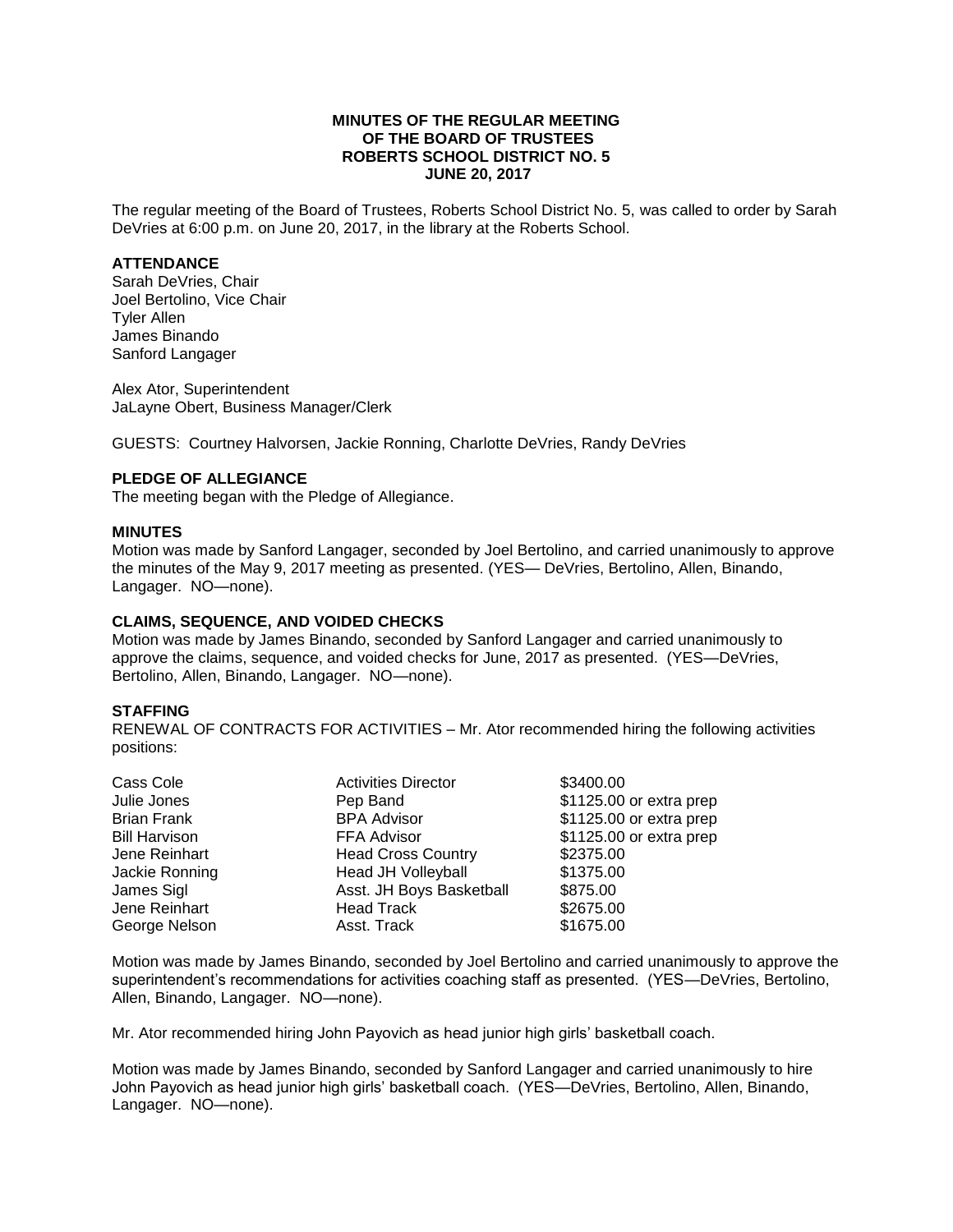## **MINUTES OF THE REGULAR MEETING OF THE BOARD OF TRUSTEES ROBERTS SCHOOL DISTRICT NO. 5 JUNE 20, 2017**

The regular meeting of the Board of Trustees, Roberts School District No. 5, was called to order by Sarah DeVries at 6:00 p.m. on June 20, 2017, in the library at the Roberts School.

## **ATTENDANCE**

Sarah DeVries, Chair Joel Bertolino, Vice Chair Tyler Allen James Binando Sanford Langager

Alex Ator, Superintendent JaLayne Obert, Business Manager/Clerk

GUESTS: Courtney Halvorsen, Jackie Ronning, Charlotte DeVries, Randy DeVries

## **PLEDGE OF ALLEGIANCE**

The meeting began with the Pledge of Allegiance.

#### **MINUTES**

Motion was made by Sanford Langager, seconded by Joel Bertolino, and carried unanimously to approve the minutes of the May 9, 2017 meeting as presented. (YES— DeVries, Bertolino, Allen, Binando, Langager. NO—none).

#### **CLAIMS, SEQUENCE, AND VOIDED CHECKS**

Motion was made by James Binando, seconded by Sanford Langager and carried unanimously to approve the claims, sequence, and voided checks for June, 2017 as presented. (YES—DeVries, Bertolino, Allen, Binando, Langager. NO—none).

#### **STAFFING**

RENEWAL OF CONTRACTS FOR ACTIVITIES – Mr. Ator recommended hiring the following activities positions:

| Cass Cole            | <b>Activities Director</b> | \$3400.00               |
|----------------------|----------------------------|-------------------------|
| Julie Jones          | Pep Band                   | \$1125.00 or extra prep |
| <b>Brian Frank</b>   | <b>BPA Advisor</b>         | \$1125.00 or extra prep |
| <b>Bill Harvison</b> | <b>FFA Advisor</b>         | \$1125.00 or extra prep |
| Jene Reinhart        | <b>Head Cross Country</b>  | \$2375.00               |
| Jackie Ronning       | <b>Head JH Volleyball</b>  | \$1375.00               |
| James Sigl           | Asst. JH Boys Basketball   | \$875.00                |
| Jene Reinhart        | <b>Head Track</b>          | \$2675.00               |
| George Nelson        | Asst. Track                | \$1675.00               |
|                      |                            |                         |

Motion was made by James Binando, seconded by Joel Bertolino and carried unanimously to approve the superintendent's recommendations for activities coaching staff as presented. (YES—DeVries, Bertolino, Allen, Binando, Langager. NO—none).

Mr. Ator recommended hiring John Payovich as head junior high girls' basketball coach.

Motion was made by James Binando, seconded by Sanford Langager and carried unanimously to hire John Payovich as head junior high girls' basketball coach. (YES—DeVries, Bertolino, Allen, Binando, Langager. NO—none).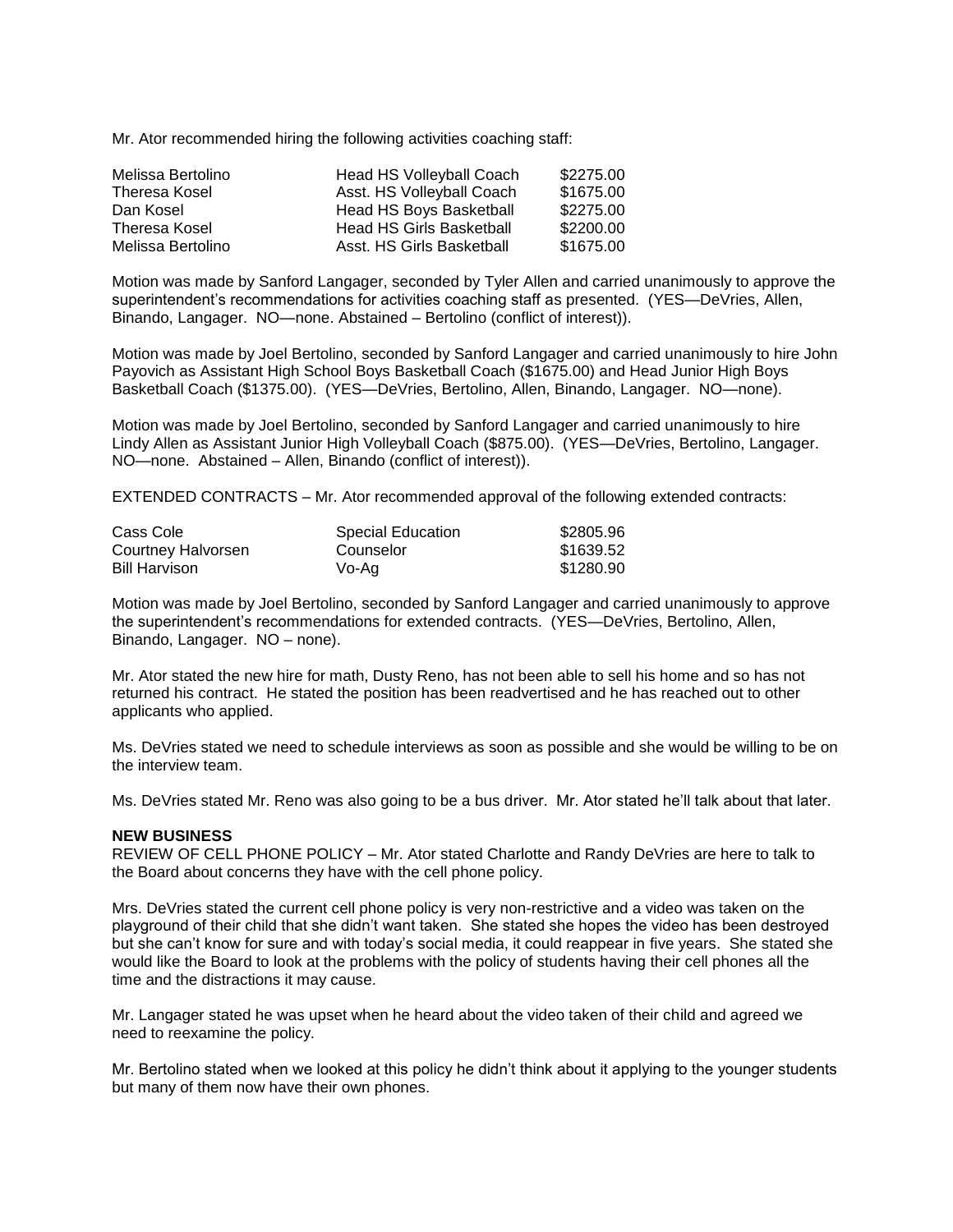Mr. Ator recommended hiring the following activities coaching staff:

| Melissa Bertolino    | <b>Head HS Volleyball Coach</b> | \$2275.00 |
|----------------------|---------------------------------|-----------|
| <b>Theresa Kosel</b> | Asst. HS Volleyball Coach       | \$1675.00 |
| Dan Kosel            | Head HS Boys Basketball         | \$2275.00 |
| Theresa Kosel        | <b>Head HS Girls Basketball</b> | \$2200.00 |
| Melissa Bertolino    | Asst. HS Girls Basketball       | \$1675.00 |

Motion was made by Sanford Langager, seconded by Tyler Allen and carried unanimously to approve the superintendent's recommendations for activities coaching staff as presented. (YES—DeVries, Allen, Binando, Langager. NO—none. Abstained – Bertolino (conflict of interest)).

Motion was made by Joel Bertolino, seconded by Sanford Langager and carried unanimously to hire John Payovich as Assistant High School Boys Basketball Coach (\$1675.00) and Head Junior High Boys Basketball Coach (\$1375.00). (YES—DeVries, Bertolino, Allen, Binando, Langager. NO—none).

Motion was made by Joel Bertolino, seconded by Sanford Langager and carried unanimously to hire Lindy Allen as Assistant Junior High Volleyball Coach (\$875.00). (YES—DeVries, Bertolino, Langager. NO—none. Abstained – Allen, Binando (conflict of interest)).

EXTENDED CONTRACTS – Mr. Ator recommended approval of the following extended contracts:

| Cass Cole            | <b>Special Education</b> | \$2805.96 |
|----------------------|--------------------------|-----------|
| Courtney Halvorsen   | Counselor                | \$1639.52 |
| <b>Bill Harvison</b> | Vo-Ag                    | \$1280.90 |

Motion was made by Joel Bertolino, seconded by Sanford Langager and carried unanimously to approve the superintendent's recommendations for extended contracts. (YES—DeVries, Bertolino, Allen, Binando, Langager. NO – none).

Mr. Ator stated the new hire for math, Dusty Reno, has not been able to sell his home and so has not returned his contract. He stated the position has been readvertised and he has reached out to other applicants who applied.

Ms. DeVries stated we need to schedule interviews as soon as possible and she would be willing to be on the interview team.

Ms. DeVries stated Mr. Reno was also going to be a bus driver. Mr. Ator stated he'll talk about that later.

#### **NEW BUSINESS**

REVIEW OF CELL PHONE POLICY – Mr. Ator stated Charlotte and Randy DeVries are here to talk to the Board about concerns they have with the cell phone policy.

Mrs. DeVries stated the current cell phone policy is very non-restrictive and a video was taken on the playground of their child that she didn't want taken. She stated she hopes the video has been destroyed but she can't know for sure and with today's social media, it could reappear in five years. She stated she would like the Board to look at the problems with the policy of students having their cell phones all the time and the distractions it may cause.

Mr. Langager stated he was upset when he heard about the video taken of their child and agreed we need to reexamine the policy.

Mr. Bertolino stated when we looked at this policy he didn't think about it applying to the younger students but many of them now have their own phones.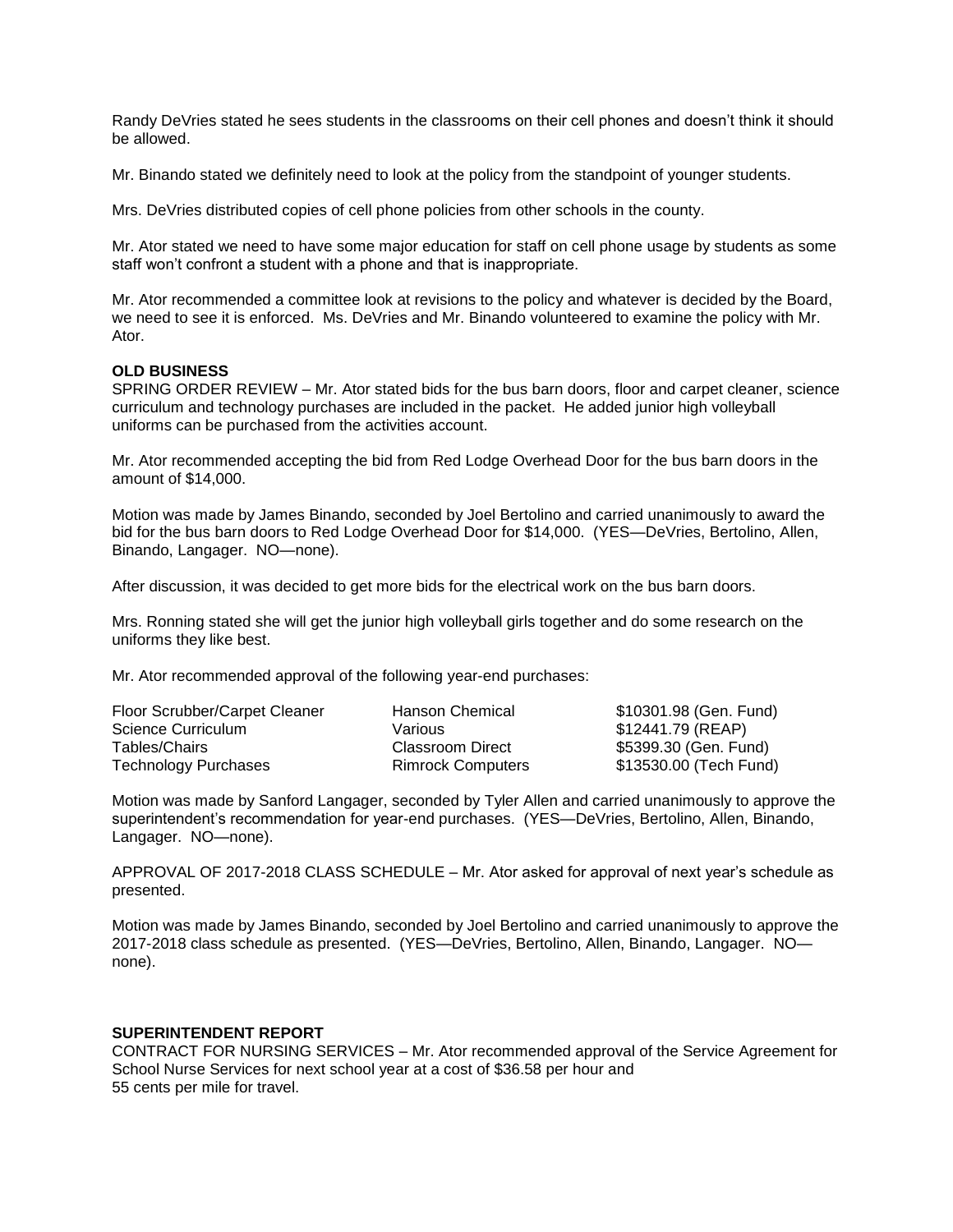Randy DeVries stated he sees students in the classrooms on their cell phones and doesn't think it should be allowed.

Mr. Binando stated we definitely need to look at the policy from the standpoint of younger students.

Mrs. DeVries distributed copies of cell phone policies from other schools in the county.

Mr. Ator stated we need to have some major education for staff on cell phone usage by students as some staff won't confront a student with a phone and that is inappropriate.

Mr. Ator recommended a committee look at revisions to the policy and whatever is decided by the Board, we need to see it is enforced. Ms. DeVries and Mr. Binando volunteered to examine the policy with Mr. Ator.

### **OLD BUSINESS**

SPRING ORDER REVIEW – Mr. Ator stated bids for the bus barn doors, floor and carpet cleaner, science curriculum and technology purchases are included in the packet. He added junior high volleyball uniforms can be purchased from the activities account.

Mr. Ator recommended accepting the bid from Red Lodge Overhead Door for the bus barn doors in the amount of \$14,000.

Motion was made by James Binando, seconded by Joel Bertolino and carried unanimously to award the bid for the bus barn doors to Red Lodge Overhead Door for \$14,000. (YES—DeVries, Bertolino, Allen, Binando, Langager. NO—none).

After discussion, it was decided to get more bids for the electrical work on the bus barn doors.

Mrs. Ronning stated she will get the junior high volleyball girls together and do some research on the uniforms they like best.

Mr. Ator recommended approval of the following year-end purchases:

| Floor Scrubber/Carpet Cleaner | Hanson Chemical          | \$10301.98 (Gen. Fund) |
|-------------------------------|--------------------------|------------------------|
| Science Curriculum            | Various                  | \$12441.79 (REAP)      |
| Tables/Chairs                 | Classroom Direct         | \$5399.30 (Gen. Fund)  |
| Technology Purchases          | <b>Rimrock Computers</b> | \$13530.00 (Tech Fund) |

Motion was made by Sanford Langager, seconded by Tyler Allen and carried unanimously to approve the superintendent's recommendation for year-end purchases. (YES—DeVries, Bertolino, Allen, Binando, Langager. NO—none).

APPROVAL OF 2017-2018 CLASS SCHEDULE – Mr. Ator asked for approval of next year's schedule as presented.

Motion was made by James Binando, seconded by Joel Bertolino and carried unanimously to approve the 2017-2018 class schedule as presented. (YES—DeVries, Bertolino, Allen, Binando, Langager. NO none).

## **SUPERINTENDENT REPORT**

CONTRACT FOR NURSING SERVICES – Mr. Ator recommended approval of the Service Agreement for School Nurse Services for next school year at a cost of \$36.58 per hour and 55 cents per mile for travel.